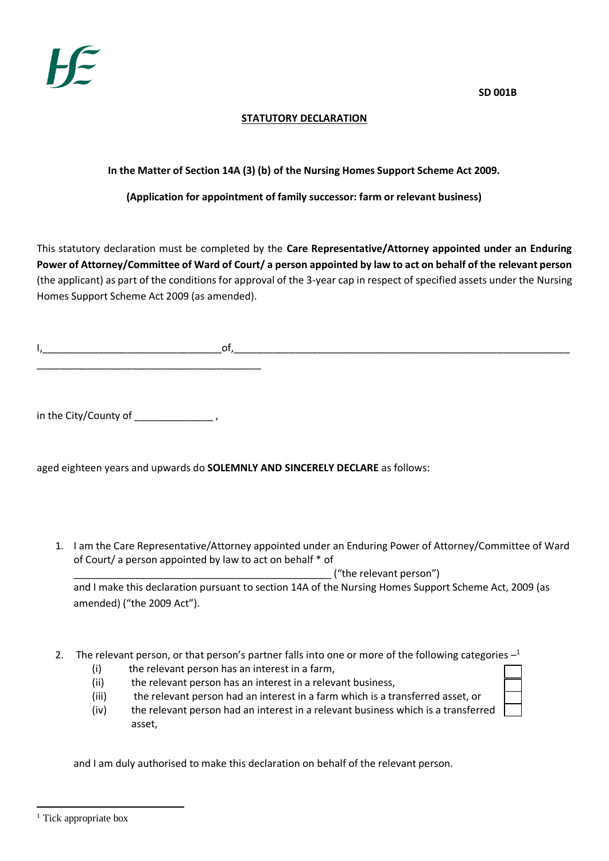**SD 001B**

## **STATUTORY DECLARATION**

## **In the Matter of Section 14A (3) (b) of the Nursing Homes Support Scheme Act 2009.**

## **(Application for appointment of family successor: farm or relevant business)**

This statutory declaration must be completed by the **Care Representative/Attorney appointed under an Enduring Power of Attorney/Committee of Ward of Court/ a person appointed by law to act on behalf of the relevant person** (the applicant) as part of the conditions for approval of the 3-year cap in respect of specified assets under the Nursing Homes Support Scheme Act 2009 (as amended).

I,\_\_\_\_\_\_\_\_\_\_\_\_\_\_\_\_\_\_\_\_\_\_\_\_\_\_\_\_\_\_\_\_of,\_\_\_\_\_\_\_\_\_\_\_\_\_\_\_\_\_\_\_\_\_\_\_\_\_\_\_\_\_\_\_\_\_\_\_\_\_\_\_\_\_\_\_\_\_\_\_\_\_\_\_\_\_\_\_\_\_\_\_\_ \_\_\_\_\_\_\_\_\_\_\_\_\_\_\_\_\_\_\_\_\_\_\_\_\_\_\_\_\_\_\_\_\_\_\_\_\_\_\_\_

in the City/County of \_\_\_\_\_\_\_\_\_\_\_\_\_\_\_\_\_,

aged eighteen years and upwards do **SOLEMNLY AND SINCERELY DECLARE** as follows:

1. I am the Care Representative/Attorney appointed under an Enduring Power of Attorney/Committee of Ward of Court/ a person appointed by law to act on behalf \* of

 $\Box$  ("the relevant person")

and I make this declaration pursuant to section 14A of the Nursing Homes Support Scheme Act, 2009 (as amended) ("the 2009 Act").

- 2. The relevant person, or that person's partner falls into one or more of the following categories  $-$ <sup>1</sup>
	- (i) the relevant person has an interest in a farm,
	- (ii) the relevant person has an interest in a relevant business,
	- (iii) the relevant person had an interest in a farm which is a transferred asset, or
	- (iv) the relevant person had an interest in a relevant business which is a transferred asset,

and I am duly authorised to make this declaration on behalf of the relevant person.

<sup>-</sup><sup>1</sup> Tick appropriate box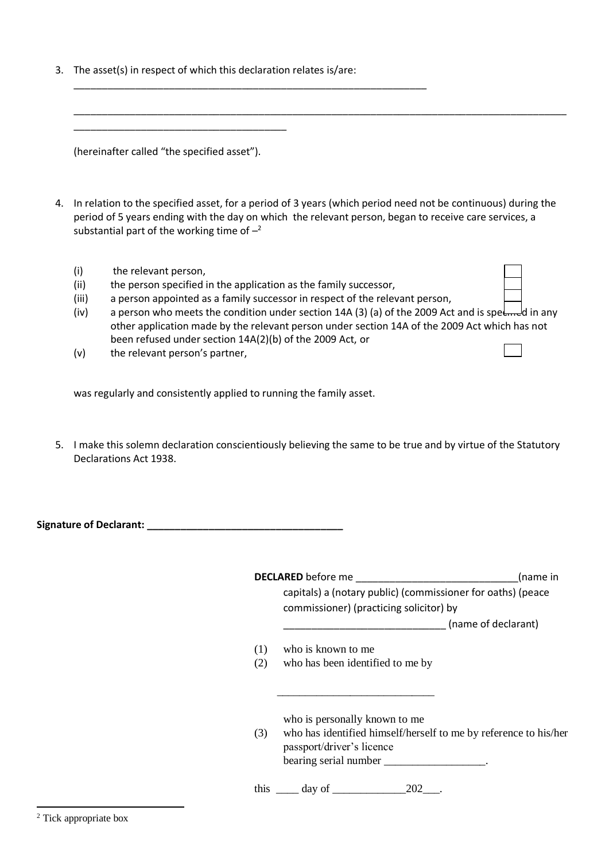3. The asset(s) in respect of which this declaration relates is/are:

\_\_\_\_\_\_\_\_\_\_\_\_\_\_\_\_\_\_\_\_\_\_\_\_\_\_\_\_\_\_\_\_\_\_\_\_\_\_\_\_\_\_\_\_\_\_\_\_\_\_\_\_\_\_\_\_\_\_\_\_\_\_\_

(hereinafter called "the specified asset").

\_\_\_\_\_\_\_\_\_\_\_\_\_\_\_\_\_\_\_\_\_\_\_\_\_\_\_\_\_\_\_\_\_\_\_\_\_\_

4. In relation to the specified asset, for a period of 3 years (which period need not be continuous) during the period of 5 years ending with the day on which the relevant person, began to receive care services, a substantial part of the working time of  $-2$ 

\_\_\_\_\_\_\_\_\_\_\_\_\_\_\_\_\_\_\_\_\_\_\_\_\_\_\_\_\_\_\_\_\_\_\_\_\_\_\_\_\_\_\_\_\_\_\_\_\_\_\_\_\_\_\_\_\_\_\_\_\_\_\_\_\_\_\_\_\_\_\_\_\_\_\_\_\_\_\_\_\_\_\_\_\_\_\_\_

- (i) the relevant person,
- (ii) the person specified in the application as the family successor,
- (iii) a person appointed as a family successor in respect of the relevant person,
- (iv) a person who meets the condition under section 14A (3) (a) of the 2009 Act and is spe $\epsilon$ <sub>rre</sub>d in any other application made by the relevant person under section 14A of the 2009 Act which has not been refused under section 14A(2)(b) of the 2009 Act, or
- (v) the relevant person's partner,

was regularly and consistently applied to running the family asset.

5. I make this solemn declaration conscientiously believing the same to be true and by virtue of the Statutory Declarations Act 1938.

| <b>Signature of Declarant:</b> |  |
|--------------------------------|--|
|--------------------------------|--|

|     | <b>DECLARED</b> before me                                        | (name in            |
|-----|------------------------------------------------------------------|---------------------|
|     | capitals) a (notary public) (commissioner for oaths) (peace      |                     |
|     | commissioner) (practicing solicitor) by                          |                     |
|     |                                                                  | (name of declarant) |
| (1) | who is known to me                                               |                     |
| (2) | who has been identified to me by                                 |                     |
|     |                                                                  |                     |
|     | who is personally known to me                                    |                     |
| (3) | who has identified himself/herself to me by reference to his/her |                     |
|     | passport/driver's licence                                        |                     |
|     | bearing serial number                                            |                     |
|     | this $\qquad \qquad \text{day of} \qquad \qquad$<br>202          |                     |

-<sup>2</sup> Tick appropriate box